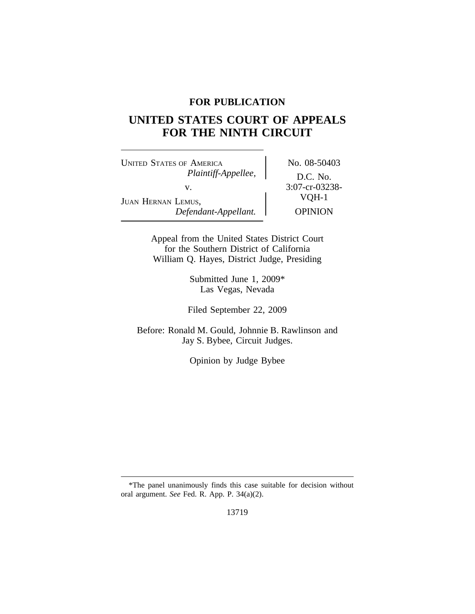## **FOR PUBLICATION**

# **UNITED STATES COURT OF APPEALS FOR THE NINTH CIRCUIT**

UNITED STATES OF AMERICA No. 08-50403 *Plaintiff-Appellee,* D.C. No. v. 3:07-cr-03238-<br>VQH-1 JUAN HERNAN LEMUS, *Defendant-Appellant.* OPINION

Appeal from the United States District Court for the Southern District of California William Q. Hayes, District Judge, Presiding

> Submitted June 1, 2009\* Las Vegas, Nevada

Filed September 22, 2009

Before: Ronald M. Gould, Johnnie B. Rawlinson and Jay S. Bybee, Circuit Judges.

Opinion by Judge Bybee

13719

<sup>\*</sup>The panel unanimously finds this case suitable for decision without oral argument. *See* Fed. R. App. P. 34(a)(2).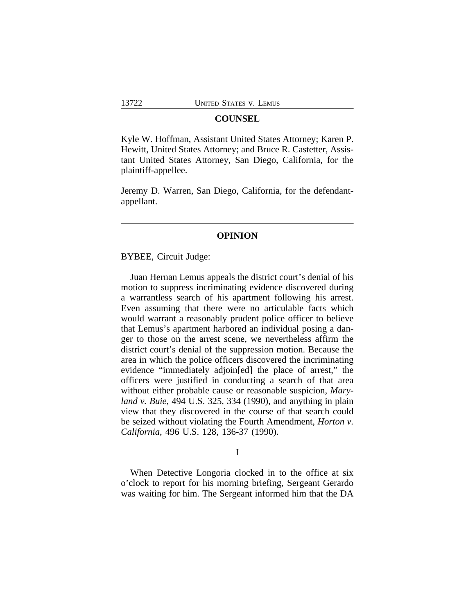## **COUNSEL**

Kyle W. Hoffman, Assistant United States Attorney; Karen P. Hewitt, United States Attorney; and Bruce R. Castetter, Assistant United States Attorney, San Diego, California, for the plaintiff-appellee.

Jeremy D. Warren, San Diego, California, for the defendantappellant.

## **OPINION**

## BYBEE, Circuit Judge:

Juan Hernan Lemus appeals the district court's denial of his motion to suppress incriminating evidence discovered during a warrantless search of his apartment following his arrest. Even assuming that there were no articulable facts which would warrant a reasonably prudent police officer to believe that Lemus's apartment harbored an individual posing a danger to those on the arrest scene, we nevertheless affirm the district court's denial of the suppression motion. Because the area in which the police officers discovered the incriminating evidence "immediately adjoin[ed] the place of arrest," the officers were justified in conducting a search of that area without either probable cause or reasonable suspicion, *Maryland v. Buie*, 494 U.S. 325, 334 (1990), and anything in plain view that they discovered in the course of that search could be seized without violating the Fourth Amendment, *Horton v. California*, 496 U.S. 128, 136-37 (1990).

## I

When Detective Longoria clocked in to the office at six o'clock to report for his morning briefing, Sergeant Gerardo was waiting for him. The Sergeant informed him that the DA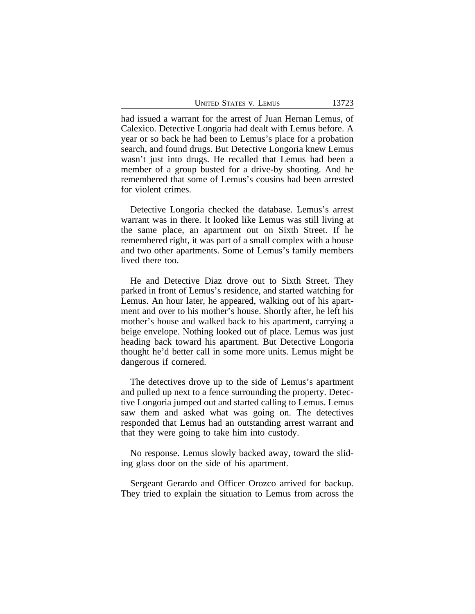UNITED STATES V. LEMUS 13723

had issued a warrant for the arrest of Juan Hernan Lemus, of Calexico. Detective Longoria had dealt with Lemus before. A year or so back he had been to Lemus's place for a probation search, and found drugs. But Detective Longoria knew Lemus wasn't just into drugs. He recalled that Lemus had been a member of a group busted for a drive-by shooting. And he remembered that some of Lemus's cousins had been arrested for violent crimes.

Detective Longoria checked the database. Lemus's arrest warrant was in there. It looked like Lemus was still living at the same place, an apartment out on Sixth Street. If he remembered right, it was part of a small complex with a house and two other apartments. Some of Lemus's family members lived there too.

He and Detective Diaz drove out to Sixth Street. They parked in front of Lemus's residence, and started watching for Lemus. An hour later, he appeared, walking out of his apartment and over to his mother's house. Shortly after, he left his mother's house and walked back to his apartment, carrying a beige envelope. Nothing looked out of place. Lemus was just heading back toward his apartment. But Detective Longoria thought he'd better call in some more units. Lemus might be dangerous if cornered.

The detectives drove up to the side of Lemus's apartment and pulled up next to a fence surrounding the property. Detective Longoria jumped out and started calling to Lemus. Lemus saw them and asked what was going on. The detectives responded that Lemus had an outstanding arrest warrant and that they were going to take him into custody.

No response. Lemus slowly backed away, toward the sliding glass door on the side of his apartment.

Sergeant Gerardo and Officer Orozco arrived for backup. They tried to explain the situation to Lemus from across the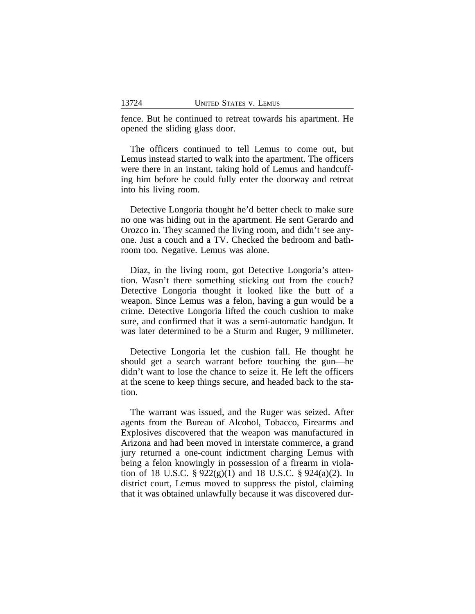fence. But he continued to retreat towards his apartment. He opened the sliding glass door.

The officers continued to tell Lemus to come out, but Lemus instead started to walk into the apartment. The officers were there in an instant, taking hold of Lemus and handcuffing him before he could fully enter the doorway and retreat into his living room.

Detective Longoria thought he'd better check to make sure no one was hiding out in the apartment. He sent Gerardo and Orozco in. They scanned the living room, and didn't see anyone. Just a couch and a TV. Checked the bedroom and bathroom too. Negative. Lemus was alone.

Diaz, in the living room, got Detective Longoria's attention. Wasn't there something sticking out from the couch? Detective Longoria thought it looked like the butt of a weapon. Since Lemus was a felon, having a gun would be a crime. Detective Longoria lifted the couch cushion to make sure, and confirmed that it was a semi-automatic handgun. It was later determined to be a Sturm and Ruger, 9 millimeter.

Detective Longoria let the cushion fall. He thought he should get a search warrant before touching the gun—he didn't want to lose the chance to seize it. He left the officers at the scene to keep things secure, and headed back to the station.

The warrant was issued, and the Ruger was seized. After agents from the Bureau of Alcohol, Tobacco, Firearms and Explosives discovered that the weapon was manufactured in Arizona and had been moved in interstate commerce, a grand jury returned a one-count indictment charging Lemus with being a felon knowingly in possession of a firearm in violation of 18 U.S.C. § 922(g)(1) and 18 U.S.C. § 924(a)(2). In district court, Lemus moved to suppress the pistol, claiming that it was obtained unlawfully because it was discovered dur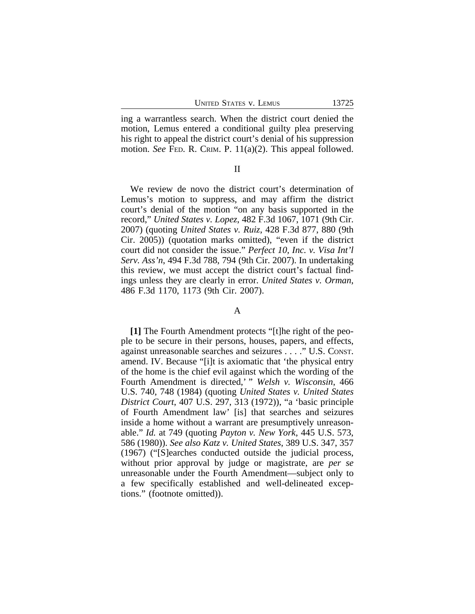ing a warrantless search. When the district court denied the motion, Lemus entered a conditional guilty plea preserving his right to appeal the district court's denial of his suppression motion. *See* FED. R. CRIM. P. 11(a)(2). This appeal followed.

#### II

We review de novo the district court's determination of Lemus's motion to suppress, and may affirm the district court's denial of the motion "on any basis supported in the record," *United States v. Lopez*, 482 F.3d 1067, 1071 (9th Cir. 2007) (quoting *United States v. Ruiz*, 428 F.3d 877, 880 (9th Cir. 2005)) (quotation marks omitted), "even if the district court did not consider the issue." *Perfect 10, Inc. v. Visa Int'l Serv. Ass'n*, 494 F.3d 788, 794 (9th Cir. 2007). In undertaking this review, we must accept the district court's factual findings unless they are clearly in error. *United States v. Orman*, 486 F.3d 1170, 1173 (9th Cir. 2007).

## A

**[1]** The Fourth Amendment protects "[t]he right of the people to be secure in their persons, houses, papers, and effects, against unreasonable searches and seizures . . . ." U.S. CONST. amend. IV. Because "[i]t is axiomatic that 'the physical entry of the home is the chief evil against which the wording of the Fourth Amendment is directed,' " *Welsh v. Wisconsin*, 466 U.S. 740, 748 (1984) (quoting *United States v. United States District Court*, 407 U.S. 297, 313 (1972)), "a 'basic principle of Fourth Amendment law' [is] that searches and seizures inside a home without a warrant are presumptively unreasonable." *Id.* at 749 (quoting *Payton v. New York*, 445 U.S. 573, 586 (1980)). *See also Katz v. United States*, 389 U.S. 347, 357 (1967) ("[S]earches conducted outside the judicial process, without prior approval by judge or magistrate, are *per se* unreasonable under the Fourth Amendment—subject only to a few specifically established and well-delineated exceptions." (footnote omitted)).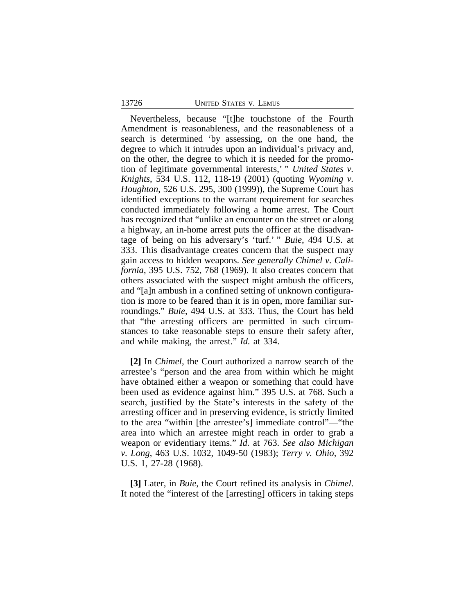#### 13726 UNITED STATES v. LEMUS

Nevertheless, because "[t]he touchstone of the Fourth Amendment is reasonableness, and the reasonableness of a search is determined 'by assessing, on the one hand, the degree to which it intrudes upon an individual's privacy and, on the other, the degree to which it is needed for the promotion of legitimate governmental interests,' " *United States v. Knights*, 534 U.S. 112, 118-19 (2001) (quoting *Wyoming v. Houghton*, 526 U.S. 295, 300 (1999)), the Supreme Court has identified exceptions to the warrant requirement for searches conducted immediately following a home arrest. The Court has recognized that "unlike an encounter on the street or along a highway, an in-home arrest puts the officer at the disadvantage of being on his adversary's 'turf.' " *Buie*, 494 U.S. at 333. This disadvantage creates concern that the suspect may gain access to hidden weapons. *See generally Chimel v. California*, 395 U.S. 752, 768 (1969). It also creates concern that others associated with the suspect might ambush the officers, and "[a]n ambush in a confined setting of unknown configuration is more to be feared than it is in open, more familiar surroundings." *Buie*, 494 U.S. at 333. Thus, the Court has held that "the arresting officers are permitted in such circumstances to take reasonable steps to ensure their safety after, and while making, the arrest." *Id.* at 334.

**[2]** In *Chimel*, the Court authorized a narrow search of the arrestee's "person and the area from within which he might have obtained either a weapon or something that could have been used as evidence against him." 395 U.S. at 768. Such a search, justified by the State's interests in the safety of the arresting officer and in preserving evidence, is strictly limited to the area "within [the arrestee's] immediate control"—"the area into which an arrestee might reach in order to grab a weapon or evidentiary items." *Id.* at 763. *See also Michigan v. Long*, 463 U.S. 1032, 1049-50 (1983); *Terry v. Ohio*, 392 U.S. 1, 27-28 (1968).

**[3]** Later, in *Buie*, the Court refined its analysis in *Chimel*. It noted the "interest of the [arresting] officers in taking steps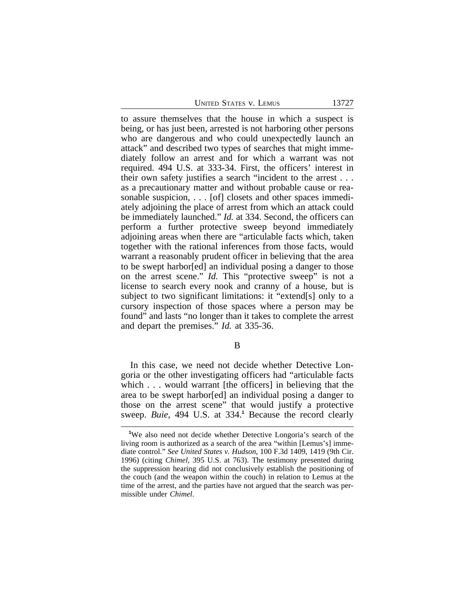UNITED STATES V. LEMUS 13727

to assure themselves that the house in which a suspect is being, or has just been, arrested is not harboring other persons who are dangerous and who could unexpectedly launch an attack" and described two types of searches that might immediately follow an arrest and for which a warrant was not required. 494 U.S. at 333-34. First, the officers' interest in their own safety justifies a search "incident to the arrest . . . as a precautionary matter and without probable cause or reasonable suspicion, . . . [of] closets and other spaces immediately adjoining the place of arrest from which an attack could be immediately launched." *Id.* at 334. Second, the officers can perform a further protective sweep beyond immediately adjoining areas when there are "articulable facts which, taken together with the rational inferences from those facts, would warrant a reasonably prudent officer in believing that the area to be swept harbor[ed] an individual posing a danger to those on the arrest scene." *Id.* This "protective sweep" is not a license to search every nook and cranny of a house, but is subject to two significant limitations: it "extend[s] only to a cursory inspection of those spaces where a person may be found" and lasts "no longer than it takes to complete the arrest and depart the premises." *Id.* at 335-36.

B

In this case, we need not decide whether Detective Longoria or the other investigating officers had "articulable facts which . . . would warrant [the officers] in believing that the area to be swept harbor[ed] an individual posing a danger to those on the arrest scene" that would justify a protective sweep. *Buie*, 494 U.S. at 334.**<sup>1</sup>** Because the record clearly

**<sup>1</sup>**We also need not decide whether Detective Longoria's search of the living room is authorized as a search of the area "within [Lemus's] immediate control." *See United States v. Hudson*, 100 F.3d 1409, 1419 (9th Cir. 1996) (citing *Chimel*, 395 U.S. at 763). The testimony presented during the suppression hearing did not conclusively establish the positioning of the couch (and the weapon within the couch) in relation to Lemus at the time of the arrest, and the parties have not argued that the search was permissible under *Chimel*.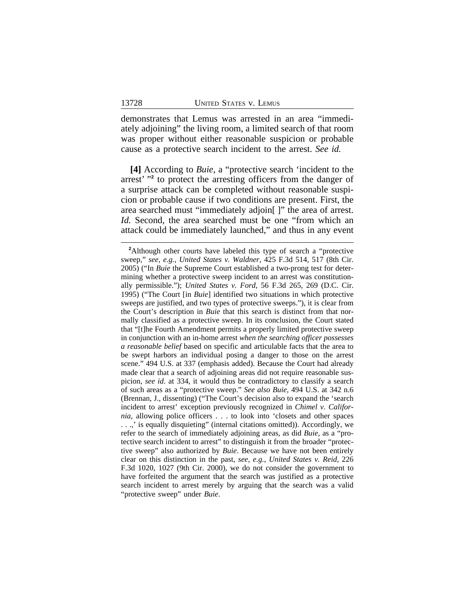demonstrates that Lemus was arrested in an area "immediately adjoining" the living room, a limited search of that room was proper without either reasonable suspicion or probable cause as a protective search incident to the arrest. *See id.*

**[4]** According to *Buie*, a "protective search 'incident to the arrest' "<sup>2</sup> to protect the arresting officers from the danger of a surprise attack can be completed without reasonable suspicion or probable cause if two conditions are present. First, the area searched must "immediately adjoin[ ]" the area of arrest. *Id.* Second, the area searched must be one "from which an attack could be immediately launched," and thus in any event

**<sup>2</sup>**Although other courts have labeled this type of search a "protective sweep," *see*, *e.g.*, *United States v. Waldner*, 425 F.3d 514, 517 (8th Cir. 2005) ("In *Buie* the Supreme Court established a two-prong test for determining whether a protective sweep incident to an arrest was constitutionally permissible."); *United States v. Ford*, 56 F.3d 265, 269 (D.C. Cir. 1995) ("The Court [in *Buie*] identified two situations in which protective sweeps are justified, and two types of protective sweeps."), it is clear from the Court's description in *Buie* that this search is distinct from that normally classified as a protective sweep. In its conclusion, the Court stated that "[t]he Fourth Amendment permits a properly limited protective sweep in conjunction with an in-home arrest *when the searching officer possesses a reasonable belief* based on specific and articulable facts that the area to be swept harbors an individual posing a danger to those on the arrest scene." 494 U.S. at 337 (emphasis added). Because the Court had already made clear that a search of adjoining areas did not require reasonable suspicion, *see id.* at 334, it would thus be contradictory to classify a search of such areas as a "protective sweep." *See also Buie*, 494 U.S. at 342 n.6 (Brennan, J., dissenting) ("The Court's decision also to expand the 'search incident to arrest' exception previously recognized in *Chimel v. California*, allowing police officers . . . to look into 'closets and other spaces . . .,' is equally disquieting" (internal citations omitted)). Accordingly, we refer to the search of immediately adjoining areas, as did *Buie*, as a "protective search incident to arrest" to distinguish it from the broader "protective sweep" also authorized by *Buie*. Because we have not been entirely clear on this distinction in the past, *see*, *e.g.*, *United States v. Reid*, 226 F.3d 1020, 1027 (9th Cir. 2000), we do not consider the government to have forfeited the argument that the search was justified as a protective search incident to arrest merely by arguing that the search was a valid "protective sweep" under *Buie*.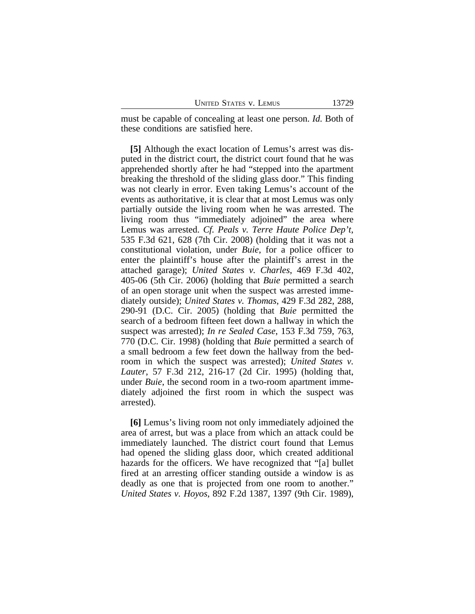must be capable of concealing at least one person. *Id.* Both of these conditions are satisfied here.

**[5]** Although the exact location of Lemus's arrest was disputed in the district court, the district court found that he was apprehended shortly after he had "stepped into the apartment breaking the threshold of the sliding glass door." This finding was not clearly in error. Even taking Lemus's account of the events as authoritative, it is clear that at most Lemus was only partially outside the living room when he was arrested. The living room thus "immediately adjoined" the area where Lemus was arrested. *Cf. Peals v. Terre Haute Police Dep't*, 535 F.3d 621, 628 (7th Cir. 2008) (holding that it was not a constitutional violation, under *Buie*, for a police officer to enter the plaintiff's house after the plaintiff's arrest in the attached garage); *United States v. Charles*, 469 F.3d 402, 405-06 (5th Cir. 2006) (holding that *Buie* permitted a search of an open storage unit when the suspect was arrested immediately outside); *United States v. Thomas*, 429 F.3d 282, 288, 290-91 (D.C. Cir. 2005) (holding that *Buie* permitted the search of a bedroom fifteen feet down a hallway in which the suspect was arrested); *In re Sealed Case*, 153 F.3d 759, 763, 770 (D.C. Cir. 1998) (holding that *Buie* permitted a search of a small bedroom a few feet down the hallway from the bedroom in which the suspect was arrested); *United States v. Lauter*, 57 F.3d 212, 216-17 (2d Cir. 1995) (holding that, under *Buie*, the second room in a two-room apartment immediately adjoined the first room in which the suspect was arrested).

**[6]** Lemus's living room not only immediately adjoined the area of arrest, but was a place from which an attack could be immediately launched. The district court found that Lemus had opened the sliding glass door, which created additional hazards for the officers. We have recognized that "[a] bullet fired at an arresting officer standing outside a window is as deadly as one that is projected from one room to another." *United States v. Hoyos*, 892 F.2d 1387, 1397 (9th Cir. 1989),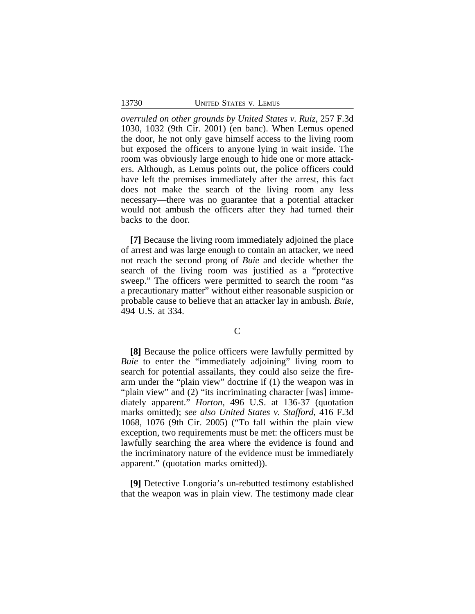*overruled on other grounds by United States v. Ruiz*, 257 F.3d 1030, 1032 (9th Cir. 2001) (en banc). When Lemus opened the door, he not only gave himself access to the living room but exposed the officers to anyone lying in wait inside. The room was obviously large enough to hide one or more attackers. Although, as Lemus points out, the police officers could have left the premises immediately after the arrest, this fact does not make the search of the living room any less necessary—there was no guarantee that a potential attacker would not ambush the officers after they had turned their backs to the door.

**[7]** Because the living room immediately adjoined the place of arrest and was large enough to contain an attacker, we need not reach the second prong of *Buie* and decide whether the search of the living room was justified as a "protective sweep." The officers were permitted to search the room "as a precautionary matter" without either reasonable suspicion or probable cause to believe that an attacker lay in ambush. *Buie*, 494 U.S. at 334.

#### $\mathcal{C}$

**[8]** Because the police officers were lawfully permitted by *Buie* to enter the "immediately adjoining" living room to search for potential assailants, they could also seize the firearm under the "plain view" doctrine if (1) the weapon was in "plain view" and (2) "its incriminating character [was] immediately apparent." *Horton*, 496 U.S. at 136-37 (quotation marks omitted); *see also United States v. Stafford*, 416 F.3d 1068, 1076 (9th Cir. 2005) ("To fall within the plain view exception, two requirements must be met: the officers must be lawfully searching the area where the evidence is found and the incriminatory nature of the evidence must be immediately apparent." (quotation marks omitted)).

**[9]** Detective Longoria's un-rebutted testimony established that the weapon was in plain view. The testimony made clear